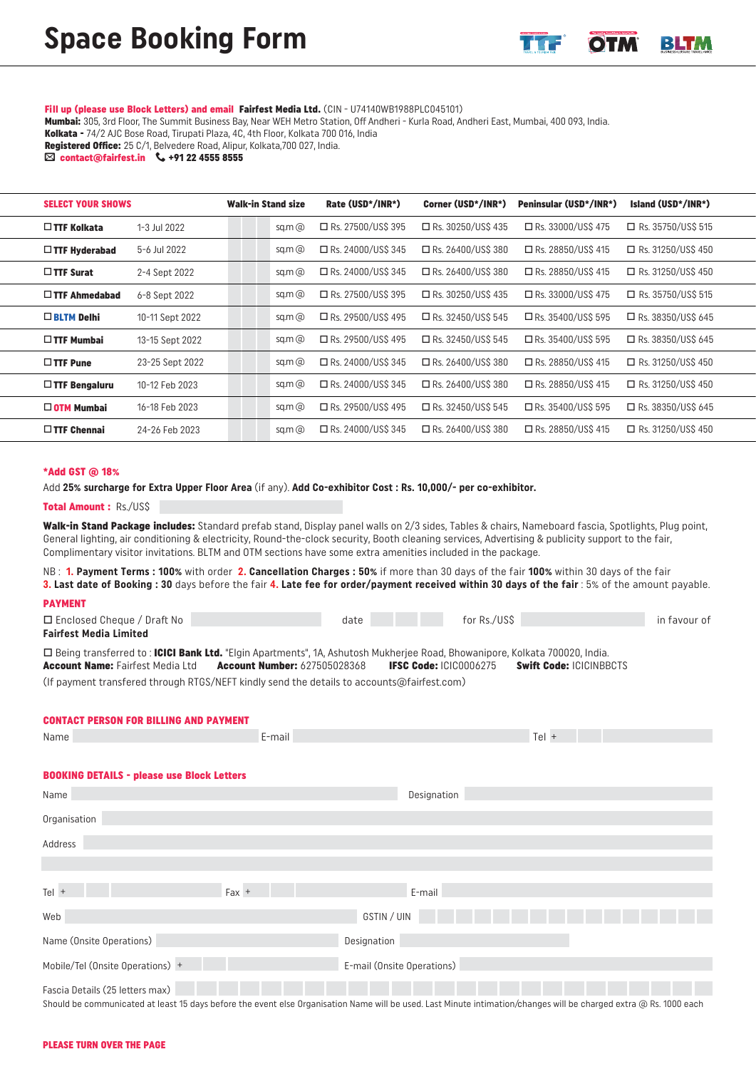### Fill up (please use Block Letters) and email Fairfest Media Ltd. (CIN - U74140WB1988PLC045101)

Mumbai: 305, 3rd Floor, The Summit Business Bay, Near WEH Metro Station, Off Andheri - Kurla Road, Andheri East, Mumbai, 400 093, India.

Kolkata - 74/2 AJC Bose Road, Tirupati Plaza, 4C, 4th Floor, Kolkata 700 016, India

Registered Office: 25 C/1, Belvedere Road, Alipur, Kolkata, 700 027, India.

 $\boxtimes$  contact@fairfest.in  $\leftarrow$  +91 22 4555 8555

| <b>SELECT YOUR SHOWS</b> |                 | Walk-in Stand size |            | Rate (USD*/INR*)          | Corner (USD*/INR*)   | Peninsular (USD*/INR*) | Island (USD*/INR*)        |
|--------------------------|-----------------|--------------------|------------|---------------------------|----------------------|------------------------|---------------------------|
| $\Box$ TTF Kolkata       | 1-3 Jul 2022    |                    | $sq.m$ $@$ | $\Box$ Rs. 27500/US\$ 395 | □ Rs. 30250/US\$ 435 | □ Rs. 33000/US\$ 475   | $\Box$ Rs. 35750/US\$ 515 |
| $\Box$ TTF Hyderabad     | 5-6 Jul 2022    |                    | sq.m $@$   | □ Rs. 24000/US\$ 345      | □ Rs. 26400/US\$ 380 | □ Rs. 28850/US\$ 415   | $\Box$ Rs. 31250/US\$ 450 |
| $\Box$ TTF Surat         | 2-4 Sept 2022   |                    | sq.m $@$   | □ Rs. 24000/US\$ 345      | □ Rs. 26400/US\$ 380 | □ Rs. 28850/US\$ 415   | $\Box$ Rs. 31250/US\$ 450 |
| $\Box$ TTF Ahmedabad     | 6-8 Sept 2022   |                    | sq.m $@$   | $\Box$ Rs. 27500/US\$ 395 | □ Rs. 30250/US\$ 435 | □ Rs. 33000/US\$ 475   | $\Box$ Rs. 35750/US\$ 515 |
| $\Box$ BLTM Delhi        | 10-11 Sept 2022 |                    | $sq.m$ $@$ | □ Rs. 29500/US\$ 495      | □ Rs. 32450/US\$ 545 | □ Rs. 35400/US\$ 595   | $\Box$ Rs. 38350/USS 645  |
| $\Box$ TTF Mumbai        | 13-15 Sept 2022 |                    | $sq.m$ $@$ | □ Rs. 29500/US\$ 495      | □ Rs. 32450/US\$ 545 | □ Rs. 35400/US\$ 595   | $\Box$ Rs. 38350/USS 645  |
| $\Box$ TTF Pune          | 23-25 Sept 2022 |                    | $sq.m$ $@$ | □ Rs. 24000/US\$ 345      | □ Rs. 26400/US\$ 380 | □ Rs. 28850/US\$ 415   | $\Box$ Rs. 31250/US\$ 450 |
| $\Box$ TTF Bengaluru     | 10-12 Feb 2023  |                    | sq.m $@$   | □ Rs. 24000/US\$ 345      | □ Rs. 26400/US\$ 380 | □ Rs. 28850/US\$ 415   | $\Box$ Rs. 31250/US\$ 450 |
| $\square$ OTM Mumbai     | 16-18 Feb 2023  |                    | $sq.m$ $@$ | □ Rs. 29500/US\$ 495      | □ Rs. 32450/US\$ 545 | □ Rs. 35400/US\$ 595   | $\Box$ Rs. 38350/US\$ 645 |
| $\Box$ TTF Chennai       | 24-26 Feb 2023  |                    | sq.m $@$   | □ Rs. 24000/US\$ 345      | □ Rs. 26400/US\$ 380 | □ Rs. 28850/US\$ 415   | $\Box$ Rs. 31250/US\$ 450 |

#### \*Add GST @ 18%

L

Add **25% surcharge for Extra Upper Floor Area** (if any). **Add Co-exhibitor Cost : Rs. 10,000/- per co-exhibitor.**

## Total Amount : Rs./US\$

Walk-in Stand Package includes: Standard prefab stand, Display panel walls on 2/3 sides, Tables & chairs, Nameboard fascia, Spotlights, Plug point, General lighting, air conditioning & electricity, Round-the-clock security, Booth cleaning services, Advertising & publicity support to the fair, Complimentary visitor invitations. BLTM and OTM sections have some extra amenities included in the package.

NB : **1. Payment Terms : 100%** with order **2. Cancellation Charges : 50%** if more than 30 days of the fair **100%** within 30 days of the fair **3. Last date of Booking : 30** days before the fair **4. Late fee for order/payment received within 30 days of the fair** : 5% of the amount payable.

# PAYMENT

| $\Box$ Enclosed Cheque / Draft No | date |  | for Rs./US\$ | in favour of |
|-----------------------------------|------|--|--------------|--------------|
| <b>Fairfest Media Limited</b>     |      |  |              |              |

□ Being transferred to : ICICI Bank Ltd. "Elgin Apartments", 1A, Ashutosh Mukherjee Road, Bhowanipore, Kolkata 700020, India. Account Name: Fairfest Media Ltd Account Number: 627505028368 IFSC Code: ICIC0006275 Swift Code: ICICINBBCTS

(If payment transfered through RTGS/NEFT kindly send the details to accounts@fairfest.com)

## CONTACT PERSON FOR BILLING AND PAYMENT

| Name                                              | E-mail |                            | Tel + |  |
|---------------------------------------------------|--------|----------------------------|-------|--|
|                                                   |        |                            |       |  |
| <b>BOOKING DETAILS - please use Block Letters</b> |        |                            |       |  |
| Name                                              |        | Designation                |       |  |
| Organisation                                      |        |                            |       |  |
| Address                                           |        |                            |       |  |
|                                                   |        |                            |       |  |
| $Tel +$<br>$Fax +$                                |        | E-mail                     |       |  |
| Web                                               |        | GSTIN / UIN                |       |  |
| Name (Onsite Operations)                          |        | Designation                |       |  |
| Mobile/Tel (Onsite Operations) +                  |        | E-mail (Onsite Operations) |       |  |
| Fascia Details (25 letters max)                   |        |                            |       |  |

Should be communicated at least 15 days before the event else Organisation Name will be used. Last Minute intimation/changes will be charged extra @ Rs. 1000 each